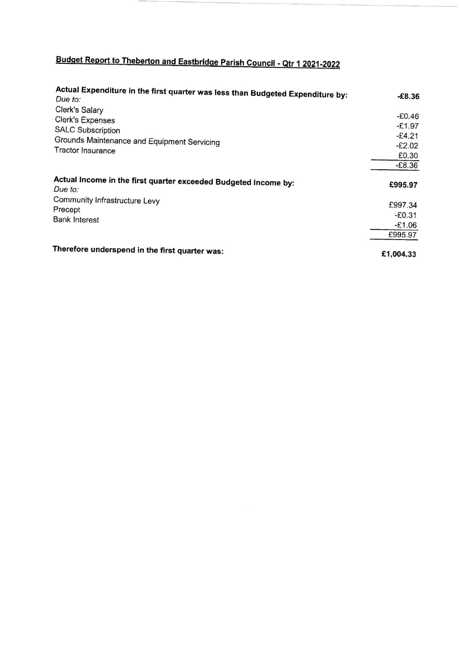## Budget Report to Theberton and Eastbridge Parish Council - Qtr 1 2021-2022

| Actual Expenditure in the first quarter was less than Budgeted Expenditure by: |           |
|--------------------------------------------------------------------------------|-----------|
| Due to:                                                                        | $-£8.36$  |
| Clerk's Salary<br>Clerk's Expenses                                             | $-£0.46$  |
| <b>SALC Subscription</b>                                                       | $-£1.97$  |
| Grounds Maintenance and Equipment Servicing                                    | $-E4.21$  |
| <b>Tractor Insurance</b>                                                       | $-E2.02$  |
|                                                                                | £0.30     |
|                                                                                | $-£8.36$  |
| Actual Income in the first quarter exceeded Budgeted Income by:<br>Due to:     | £995.97   |
| Community Infrastructure Levy                                                  |           |
| Precept                                                                        | £997.34   |
| <b>Bank Interest</b>                                                           | $-E0.31$  |
|                                                                                | $-£1.06$  |
|                                                                                | £995.97   |
| Therefore underspend in the first quarter was:                                 | £1,004.33 |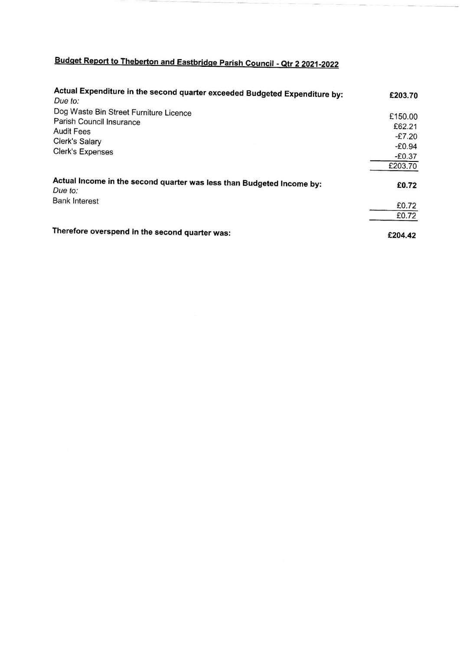## Budget Report to Theberton and Eastbridge Parish Council - Qtr 2 2021-2022

| Actual Expenditure in the second quarter exceeded Budgeted Expenditure by:<br>Due to: | £203.70  |
|---------------------------------------------------------------------------------------|----------|
| Dog Waste Bin Street Furniture Licence                                                | £150.00  |
| Parish Council Insurance                                                              | £62.21   |
| Audit Fees                                                                            | $-E7.20$ |
| Clerk's Salary                                                                        | $-£0.94$ |
| Clerk's Expenses                                                                      |          |
|                                                                                       | $-£0.37$ |
|                                                                                       | £203.70  |
| Actual Income in the second quarter was less than Budgeted Income by:<br>Due to:      | £0.72    |
| <b>Bank Interest</b>                                                                  | £0.72    |
|                                                                                       | £0.72    |
| Therefore overspend in the second quarter was:                                        | £204.42  |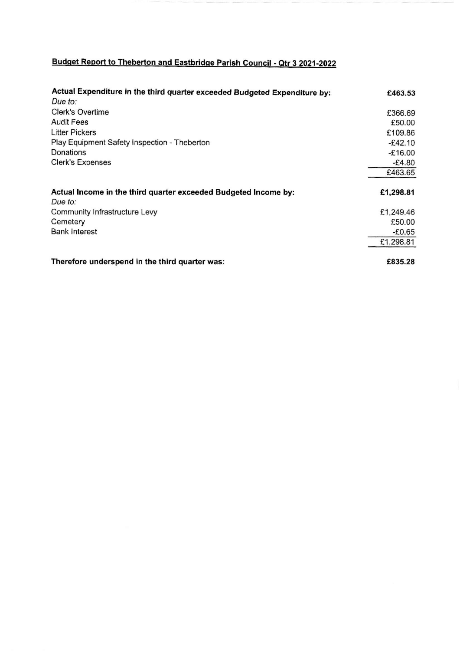## Budget Report to Theberton and Eastbridge Parish Council - Qtr 3 2021-2022

| Actual Expenditure in the third quarter exceeded Budgeted Expenditure by:  | £463.53   |
|----------------------------------------------------------------------------|-----------|
| Due to:                                                                    |           |
| Clerk's Overtime                                                           | £366.69   |
| <b>Audit Fees</b>                                                          | £50.00    |
| <b>Litter Pickers</b>                                                      | £109.86   |
| Play Equipment Safety Inspection - Theberton                               | $-£42.10$ |
| Donations                                                                  | $-£16.00$ |
| <b>Clerk's Expenses</b>                                                    | $-E4.80$  |
|                                                                            | £463.65   |
| Actual Income in the third quarter exceeded Budgeted Income by:<br>Due to: | £1,298.81 |
| Community Infrastructure Levy                                              | £1,249.46 |
| Cemetery                                                                   | £50.00    |
| <b>Bank Interest</b>                                                       | $-£0.65$  |
|                                                                            | £1,298.81 |
| Therefore underspend in the third quarter was:                             | £835.28   |